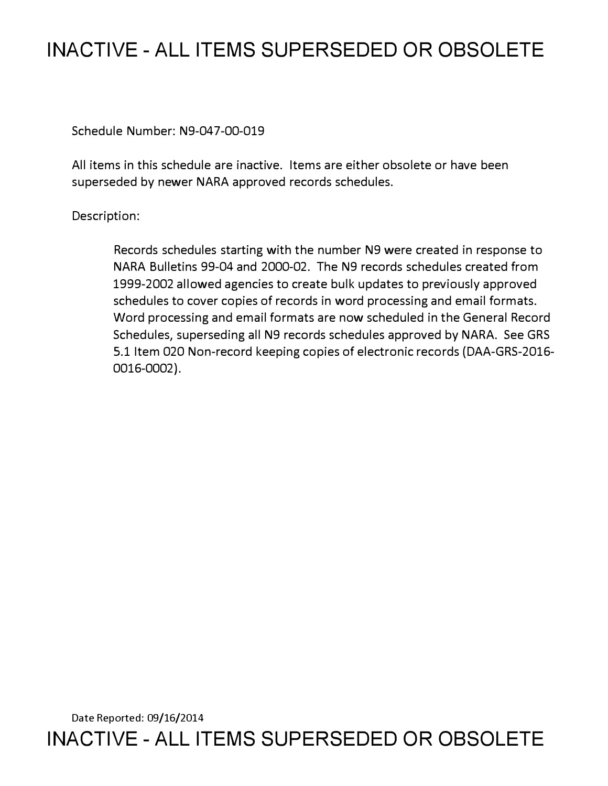## **INACTIVE - ALL ITEMS SUPERSEDED OR OBSOLETE**

Schedule Number: N9-047-00-019

All items in this schedule are inactive. Items are either obsolete or have been superseded by newer NARA approved records schedules.

Description:

Records schedules starting with the number N9 were created in response to NARA Bulletins 99-04 and 2000-02. The N9 records schedules created from 1999-2002 allowed agencies to create bulk updates to previously approved schedules to cover copies of records in word processing and email formats. Word processing and email formats are now scheduled in the General Record Schedules, superseding all N9 records schedules approved by NARA. See GRS 5.1 Item 020 Non-record keeping copies of electronic records (DAA-GRS-2016- 0016-0002).

Date Reported: 09/16/2014 **INACTIVE - ALL ITEMS SUPERSEDED OR OBSOLETE**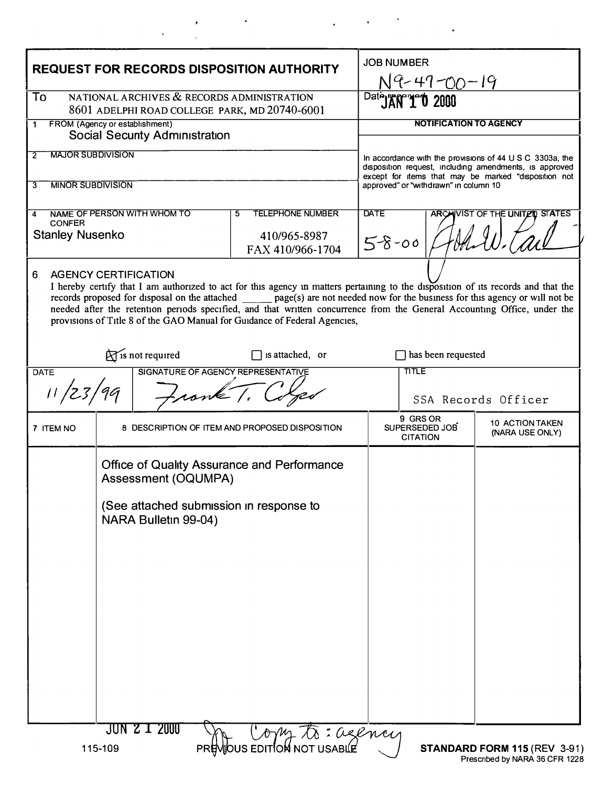| <b>REQUEST FOR RECORDS DISPOSITION AUTHORITY</b>                                                  |                                                                                  |                                                                                                                                                                                                                                                                                                                                                                                                                                                                               | <b>JOB NUMBER</b>                                                                                                                                                          |                                               |                                           |
|---------------------------------------------------------------------------------------------------|----------------------------------------------------------------------------------|-------------------------------------------------------------------------------------------------------------------------------------------------------------------------------------------------------------------------------------------------------------------------------------------------------------------------------------------------------------------------------------------------------------------------------------------------------------------------------|----------------------------------------------------------------------------------------------------------------------------------------------------------------------------|-----------------------------------------------|-------------------------------------------|
| NATIONAL ARCHIVES & RECORDS ADMINISTRATION<br>To<br>8601 ADELPHI ROAD COLLEGE PARK, MD 20740-6001 |                                                                                  |                                                                                                                                                                                                                                                                                                                                                                                                                                                                               | $N^2$ + 1 - 00 - 19                                                                                                                                                        |                                               |                                           |
| FROM (Agency or establishment)<br>1<br><b>Social Security Administration</b>                      |                                                                                  |                                                                                                                                                                                                                                                                                                                                                                                                                                                                               | <b>NOTIFICATION TO AGENCY</b>                                                                                                                                              |                                               |                                           |
| <b>MAJOR SUBDIVISION</b><br>2                                                                     |                                                                                  |                                                                                                                                                                                                                                                                                                                                                                                                                                                                               |                                                                                                                                                                            |                                               |                                           |
|                                                                                                   |                                                                                  |                                                                                                                                                                                                                                                                                                                                                                                                                                                                               | In accordance with the provisions of 44 U S C 3303a, the<br>disposition request, including amendments, is approved<br>except for items that may be marked "disposition not |                                               |                                           |
| <b>MINOR SUBDIVISION</b><br>3                                                                     |                                                                                  |                                                                                                                                                                                                                                                                                                                                                                                                                                                                               |                                                                                                                                                                            | approved" or "withdrawn" in column 10         |                                           |
| NAME OF PERSON WITH WHOM TO<br><b>TELEPHONE NUMBER</b><br>5<br>4<br><b>CONFER</b>                 |                                                                                  |                                                                                                                                                                                                                                                                                                                                                                                                                                                                               | <b>DATE</b><br><b>ARCAIVIST OF THE UNITED STATES</b>                                                                                                                       |                                               |                                           |
| <b>Stanley Nusenko</b>                                                                            |                                                                                  | 410/965-8987<br>FAX 410/966-1704                                                                                                                                                                                                                                                                                                                                                                                                                                              | $5 - 8 - 00$                                                                                                                                                               |                                               |                                           |
| <b>AGENCY CERTIFICATION</b>                                                                       |                                                                                  | I hereby certify that I am authorized to act for this agency in matters pertaining to the disposition of its records and that the<br>records proposed for disposal on the attached ______ page(s) are not needed now for the business for this agency or will not be<br>needed after the retention periods specified, and that written concurrence from the General Accounting Office, under the<br>provisions of Title 8 of the GAO Manual for Guidance of Federal Agencies, |                                                                                                                                                                            |                                               |                                           |
| $\sum$ is not required<br>$\Box$ is attached, or                                                  |                                                                                  |                                                                                                                                                                                                                                                                                                                                                                                                                                                                               |                                                                                                                                                                            | has been requested                            |                                           |
| SIGNATURE OF AGENCY REPRESENTATIVE<br><b>DATE</b><br>11/23/99                                     |                                                                                  |                                                                                                                                                                                                                                                                                                                                                                                                                                                                               |                                                                                                                                                                            | TITLE                                         | SSA Records Officer                       |
| 7 ITEM NO                                                                                         |                                                                                  | 8 DESCRIPTION OF ITEM AND PROPOSED DISPOSITION                                                                                                                                                                                                                                                                                                                                                                                                                                |                                                                                                                                                                            | 9 GRS OR<br>SUPERSEDED JOB<br><b>CITATION</b> | <b>10 ACTION TAKEN</b><br>(NARA USE ONLY) |
|                                                                                                   | <b>Office of Quality Assurance and Performance</b><br><b>Assessment (OQUMPA)</b> |                                                                                                                                                                                                                                                                                                                                                                                                                                                                               |                                                                                                                                                                            |                                               |                                           |
| (See attached submission in response to<br>NARA Bulletin 99-04)                                   |                                                                                  |                                                                                                                                                                                                                                                                                                                                                                                                                                                                               |                                                                                                                                                                            |                                               |                                           |
|                                                                                                   |                                                                                  |                                                                                                                                                                                                                                                                                                                                                                                                                                                                               |                                                                                                                                                                            |                                               |                                           |
|                                                                                                   |                                                                                  |                                                                                                                                                                                                                                                                                                                                                                                                                                                                               |                                                                                                                                                                            |                                               |                                           |
|                                                                                                   |                                                                                  |                                                                                                                                                                                                                                                                                                                                                                                                                                                                               |                                                                                                                                                                            |                                               |                                           |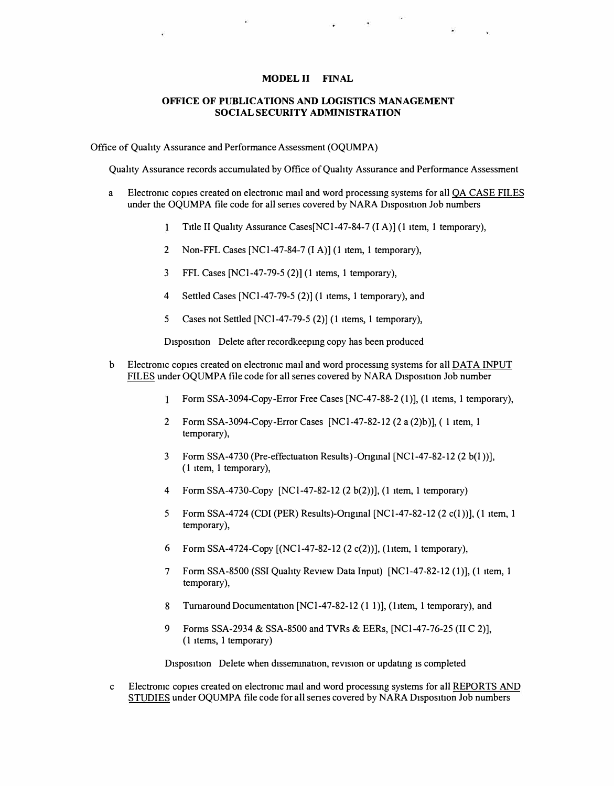## **MODEL II FINAL**

## **OFFICE OF PUBLICATIONS AND LOGISTICS MANAGEMENT SOCIAL SECURITY ADMINISTRATION**

Office of Quahty A ssurance and Performance Assessment (OQUMPA)

Quahty Assurance records accumulated by Office of Quahty Assurance and Performance Assessment

- a Electronic copies created on electronic mail and word processing systems for all QA CASE FILES under the OQUMPA file code for all series covered by NARA Disposition Job numbers
	- Title II Quality Assurance Cases [NC1-47-84-7 (I A)] (1 item, 1 temporary),  $\mathbf{1}$
	- 2 Non-FFL Cases [NC1-47-84-7 (I A)] (1 item, 1 temporary),
	- 3 FFL Cases [NCl-47-79-5 (2)) (1 items, 1 temporary),
	- 4 Settled Cases [NCl-47-79-5 (2)) (1 items, 1 temporary), and
	- 5 Cases not Settled [NCl-47-79-5 (2)) (1 items, 1 temporary),

Disposition Delete after recordkeeping copy has been produced

- b Electromc copies created on electronic mad and word processmg systems for all DATA INPUT FILES under OQUMPA file code for all series covered by NARA Disposition Job number
	- Form SSA-309 4-Copy-Error Free Cases [NC-47-88-2 **(1)), (1** items, 1 temporary),
	- 2 Form SSA-3094-Copy-Error Cases [NC1-47-82-12 (2 a (2)b)], (1 item, 1 temporary),
	- 3 Form SSA-4730 (Pre-effectuation Results)-Ongmal [NCl-47-82-12 (2 b(l ))], (1 item, 1 temporary),
	- 4 Form SSA-4730-Copy [NCl-47-82-12 (2 b(2))], (1 item, 1 temporary)
	- 5 Form SSA-47 24 (CDI (PER) Results)-Ongmal [NCl-47-82-12 (2 c(l))], **(1** item, 1 temporary),
	- 6 Form SSA-4724-Copy [(NCl-47-82-12 (2 c(2))], (1 tem, 1 temporary),
	- 7 Form SSA-8500 (SSI Quahty Review Data Input) [NCl-47-82-12 **(1)), (1** item, 1 temporary),
	- 8 Turnaround Documentation [NC1-47-82-12 (1 1)], (1item, 1 temporary), and
	- 9 Forms SSA-2934 & SSA-8500 and TVRs & EERs, [NC1-47-76-25 (II C 2)], (1 items, 1 temporary)

Disposition Delete when dissemination, revision or updating is completed

Electronic copies created on electronic mad and word processmg systems for all REPORTS AND STUDIES under OQUMPA file code for all series covered by NARA Disposition Job numbers c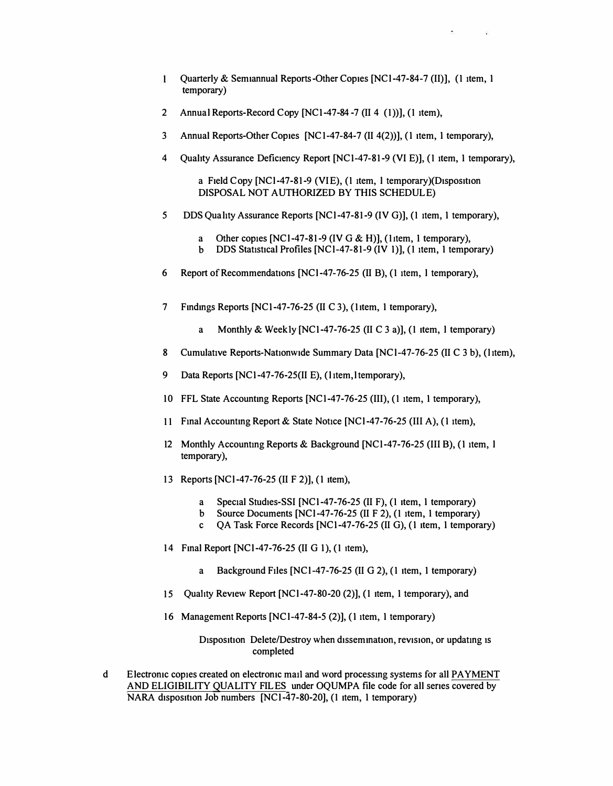$\mathbf{1}$ **Quarterly & Semiannual Reports-Other Copies [NCl-47-84-7 (II)], (1 item, I temporary)** 

 $\hat{\mathbf{x}} = \mathbf{x} - \mathbf{y}$ 

- **2 Annual Reports-Record Copy [NCI-47-84-7 (II 4 (1))),(1 item),**
- **3 Annual Reports-Other Copies [NC 1-47-84-7 (II 4(2))], (I item, I temporary),**
- **4 Qualtty Assurance Deficiency Report [NCI-47-81-9 (VI E)], (1 item, I temporary),**

a Field Copy [NCl-47-81-9 (VIE), (1 item, 1 temporary)(Disposition **DISPOSAL NOT AUTHORIZED BY THIS SCHEDULE)** 

- *5* **DDSQuahty Assurance Reports [NCl-47-81-9 (IVG)], (1 item, I temporary),** 
	- **a Other copies [NCl-47-81-9 (IVG & H)], (11tem, I temporary),**
	- **b** DDS Statistical Profiles [NC1-47-81-9 (IV 1)], (1 item, 1 temporary)
- **6** Report of Recommendations [NCl-47-76-25 (II B), (1 item, 1 temporary),
- **7 Findings Reports [NCI-47-76-25 (II C 3), (11tem, I temporary),** 
	- **a Monthly & Week ly [NCI-47-76-25 (II C 3 a)], (1 item, I temporary)**
- 8 Cumulative Reports-Nationwide Summary Data [NCl-47-76-25 (II C 3 b), (1item),
- 9 Data Reports [NC1-47-76-25(II E), (11tem, 1temporary),
- **IO FFL State Accounting Reports [NCl-47-76-25 (III), (1 item, I temporary),**
- **11 Final Accounting Report & State Notice [NCl-47-76-25 (III A), (I item),**
- **12 Monthly Accounting Reports & Background [NC 1-47-76-25 (III B), ( I item, I temporary),**
- **13 Reports [NCl-47-76-25 (II F 2)], (I item),** 
	- a Special Studies-SSI [NC1-47-76-25 (II F), (1 item, 1 temporary)
	- **b Source Documents [NCl-47-76-25 (II F 2), (1 item, I temporary)**
	- **c QA Task Force Records [NCI-47-76-25 (II G), (I item, I temporary)**
- **14 Final Report [NCl-47-76-25 (II G I ), (1 item),** 
	- **a Background Files [NCl-47-76-25 (II G 2), (I item, I temporary)**
- **15 Qualtty Review Report [NCl-47-80-20 (2)], (1 item, I temporary), and**
- **16 Management Reports [NCl-47-84-5 (2)], (I item, I temporary)**

**Disposition Delete/Destroy when dissemination, revision, or updating is completed** 

**d Electronic copies created on electronic mail and word processing systems for all PAYMENT**  AND ELIGIBILITY QUALITY FILES under OQUMPA file code for all series covered by **NARA disposition Job numbers [NCl-47-80-20], (1 item, 1 temporary)**